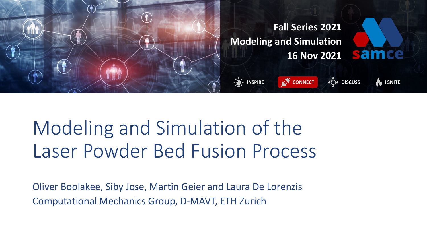

# Modeling and Simulation of the Laser Powder Bed Fusion Process

Oliver Boolakee, Siby Jose, Martin Geier and Laura De Lorenzis Computational Mechanics Group, D-MAVT, ETH Zurich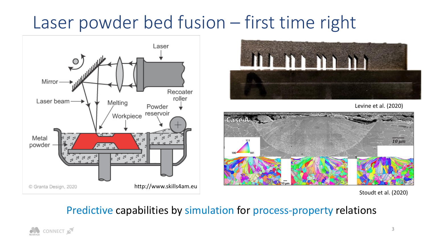### Laser powder bed fusion – first time right





Levine et al. (2020)



Stoudt et al. (2020)

#### Predictive capabilities by simulation for process-property relations

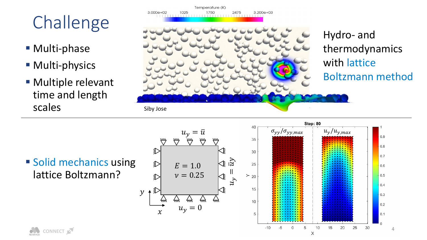## Challenge

**■ Multi-phase** 

**CONNECT** 

- **Multi-physics**
- **Multiple relevant** time and length scales



Temperature (K)

■ Solid mechanics using lattice Boltzmann?

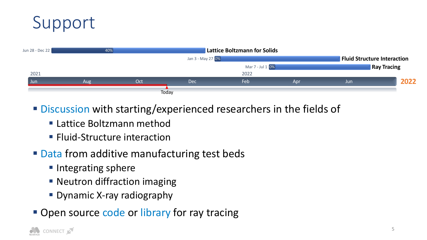### Support



- Discussion with starting/experienced researchers in the fields of
	- **Example 2** Lattice Boltzmann method
	- **E** Fluid-Structure interaction
- Data from additive manufacturing test beds
	- Integrating sphere
	- Neutron diffraction imaging
	- **Dynamic X-ray radiography**
- Open source code or library for ray tracing